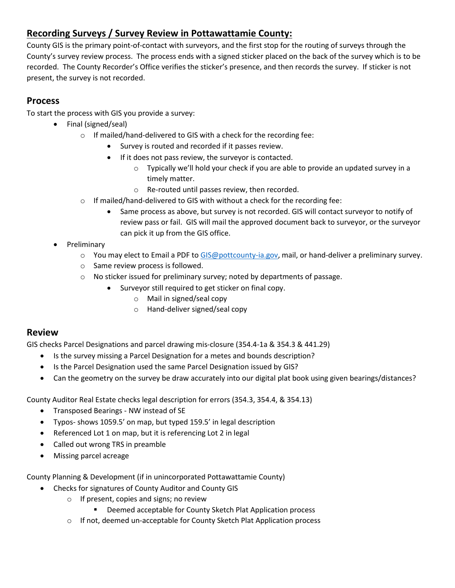# **Recording Surveys / Survey Review in Pottawattamie County:**

County GIS is the primary point-of-contact with surveyors, and the first stop for the routing of surveys through the County's survey review process. The process ends with a signed sticker placed on the back of the survey which is to be recorded. The County Recorder's Office verifies the sticker's presence, and then records the survey. If sticker is not present, the survey is not recorded.

# **Process**

To start the process with GIS you provide a survey:

- Final (signed/seal)
	- o If mailed/hand-delivered to GIS with a check for the recording fee:
		- Survey is routed and recorded if it passes review.
		- If it does not pass review, the surveyor is contacted.
			- $\circ$  Typically we'll hold your check if you are able to provide an updated survey in a timely matter.
			- o Re-routed until passes review, then recorded.
	- $\circ$  If mailed/hand-delivered to GIS with without a check for the recording fee:
		- Same process as above, but survey is not recorded. GIS will contact surveyor to notify of review pass or fail. GIS will mail the approved document back to surveyor, or the surveyor can pick it up from the GIS office.
- Preliminary
	- o You may elect to Email a PDF to [GIS@pottcounty-ia.gov,](mailto:GIS@pottcounty-ia.gov) mail, or hand-deliver a preliminary survey.
	- o Same review process is followed.
	- o No sticker issued for preliminary survey; noted by departments of passage.
		- Surveyor still required to get sticker on final copy.
			- o Mail in signed/seal copy
			- o Hand-deliver signed/seal copy

## **Review**

GIS checks Parcel Designations and parcel drawing mis-closure (354.4-1a & 354.3 & 441.29)

- Is the survey missing a Parcel Designation for a metes and bounds description?
- Is the Parcel Designation used the same Parcel Designation issued by GIS?
- Can the geometry on the survey be draw accurately into our digital plat book using given bearings/distances?

County Auditor Real Estate checks legal description for errors (354.3, 354.4, & 354.13)

- Transposed Bearings NW instead of SE
- Typos- shows 1059.5' on map, but typed 159.5' in legal description
- Referenced Lot 1 on map, but it is referencing Lot 2 in legal
- Called out wrong TRS in preamble
- Missing parcel acreage

County Planning & Development (if in unincorporated Pottawattamie County)

- Checks for signatures of County Auditor and County GIS
	- o If present, copies and signs; no review
		- **Deemed acceptable for County Sketch Plat Application process**
		- o If not, deemed un-acceptable for County Sketch Plat Application process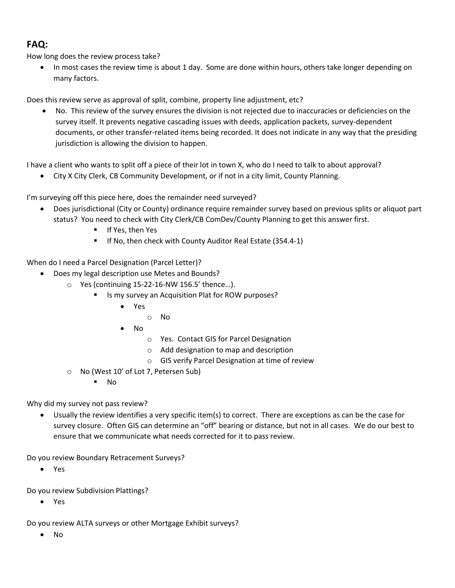# **FAQ:**

How long does the review process take?

• In most cases the review time is about 1 day. Some are done within hours, others take longer depending on many factors.

Does this review serve as approval of split, combine, property line adjustment, etc?

 No. This review of the survey ensures the division is not rejected due to inaccuracies or deficiencies on the survey itself. It prevents negative cascading issues with deeds, application packets, survey-dependent documents, or other transfer-related items being recorded. It does not indicate in any way that the presiding jurisdiction is allowing the division to happen.

I have a client who wants to split off a piece of their lot in town X, who do I need to talk to about approval?

City X City Clerk, CB Community Development, or if not in a city limit, County Planning.

I'm surveying off this piece here, does the remainder need surveyed?

- Does jurisdictional (City or County) ordinance require remainder survey based on previous splits or aliquot part status? You need to check with City Clerk/CB ComDev/County Planning to get this answer first.
	- **If Yes, then Yes**
	- If No, then check with County Auditor Real Estate (354.4-1)

When do I need a Parcel Designation (Parcel Letter)?

- Does my legal description use Metes and Bounds?
	- o Yes (continuing 15-22-16-NW 156.5' thence…).
		- Is my survey an Acquisition Plat for ROW purposes?
			- Yes
				- o No
			- $\bullet$  No
				- o Yes. Contact GIS for Parcel Designation
				- o Add designation to map and description
				- o GIS verify Parcel Designation at time of review
	- o No (West 10' of Lot 7, Petersen Sub)
		- No

Why did my survey not pass review?

 Usually the review identifies a very specific item(s) to correct. There are exceptions as can be the case for survey closure. Often GIS can determine an "off" bearing or distance, but not in all cases. We do our best to ensure that we communicate what needs corrected for it to pass review.

Do you review Boundary Retracement Surveys?

Yes

Do you review Subdivision Plattings?

Yes

Do you review ALTA surveys or other Mortgage Exhibit surveys?

No